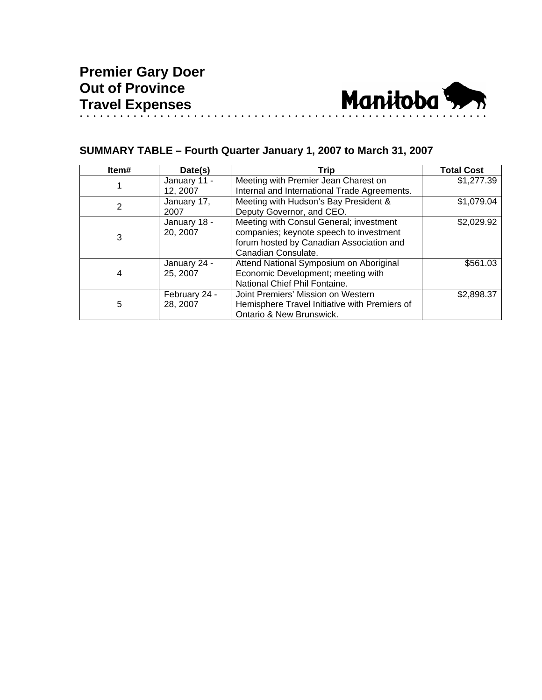

# **SUMMARY TABLE – Fourth Quarter January 1, 2007 to March 31, 2007**

| Item# | Date(s)                   | Trip                                                                                                                                                  | <b>Total Cost</b> |
|-------|---------------------------|-------------------------------------------------------------------------------------------------------------------------------------------------------|-------------------|
|       | January 11 -<br>12, 2007  | Meeting with Premier Jean Charest on<br>Internal and International Trade Agreements.                                                                  | \$1,277.39        |
| 2     | January 17,<br>2007       | Meeting with Hudson's Bay President &<br>Deputy Governor, and CEO.                                                                                    | \$1,079.04        |
| 3     | January 18 -<br>20, 2007  | Meeting with Consul General; investment<br>companies; keynote speech to investment<br>forum hosted by Canadian Association and<br>Canadian Consulate. | \$2,029.92        |
| 4     | January 24 -<br>25, 2007  | Attend National Symposium on Aboriginal<br>Economic Development; meeting with<br>National Chief Phil Fontaine.                                        | \$561.03          |
| 5     | February 24 -<br>28, 2007 | Joint Premiers' Mission on Western<br>Hemisphere Travel Initiative with Premiers of<br>Ontario & New Brunswick.                                       | \$2,898.37        |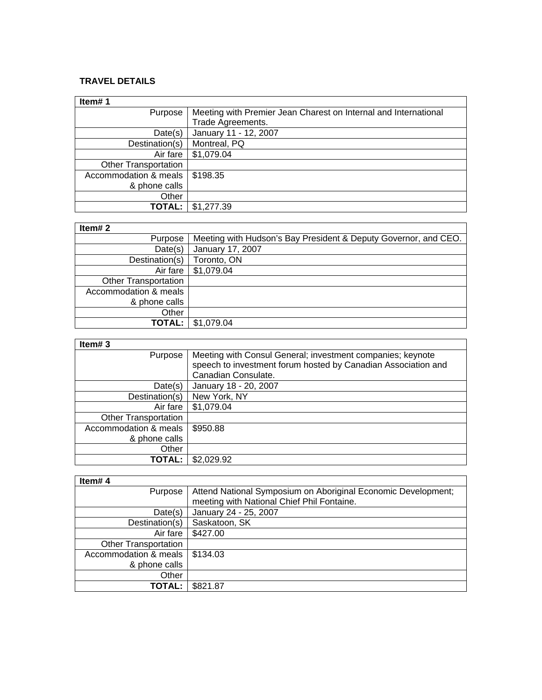### **TRAVEL DETAILS**

| Item#1                      |                                                                 |
|-----------------------------|-----------------------------------------------------------------|
| Purpose                     | Meeting with Premier Jean Charest on Internal and International |
|                             | Trade Agreements.                                               |
| Date(s)                     | January 11 - 12, 2007                                           |
| Destination(s)              | Montreal, PQ                                                    |
| Air fare                    | \$1,079.04                                                      |
| <b>Other Transportation</b> |                                                                 |
| Accommodation & meals       | \$198.35                                                        |
| & phone calls               |                                                                 |
| Other                       |                                                                 |
| <b>TOTAL:</b>               | \$1,277.39                                                      |

## **Item# 2**

| Item# $2$                   |                                                                 |
|-----------------------------|-----------------------------------------------------------------|
| Purpose                     | Meeting with Hudson's Bay President & Deputy Governor, and CEO. |
| Date(s)                     | January 17, 2007                                                |
| Destination(s)              | Toronto, ON                                                     |
| Air fare                    | \$1,079.04                                                      |
| <b>Other Transportation</b> |                                                                 |
| Accommodation & meals       |                                                                 |
| & phone calls               |                                                                 |
| Other                       |                                                                 |
| <b>TOTAL:</b>               | \$1,079.04                                                      |

#### **Item# 3**

| Item# $3$                   |                                                               |
|-----------------------------|---------------------------------------------------------------|
| Purpose                     | Meeting with Consul General; investment companies; keynote    |
|                             | speech to investment forum hosted by Canadian Association and |
|                             | Canadian Consulate.                                           |
| Date(s)                     | January 18 - 20, 2007                                         |
| Destination(s)              | New York, NY                                                  |
| Air fare                    | \$1,079.04                                                    |
| <b>Other Transportation</b> |                                                               |
| Accommodation & meals       | \$950.88                                                      |
| & phone calls               |                                                               |
| Other                       |                                                               |
| TOTAL:                      | \$2,029.92                                                    |

### **Item# 4**

| Item#4                      |                                                               |
|-----------------------------|---------------------------------------------------------------|
| Purpose                     | Attend National Symposium on Aboriginal Economic Development; |
|                             | meeting with National Chief Phil Fontaine.                    |
| Date(s)                     | January 24 - 25, 2007                                         |
| Destination(s)              | Saskatoon, SK                                                 |
| Air fare                    | \$427.00                                                      |
| <b>Other Transportation</b> |                                                               |
| Accommodation & meals       | \$134.03                                                      |
| & phone calls               |                                                               |
| Other                       |                                                               |
| TOTAL:                      | \$821.87                                                      |